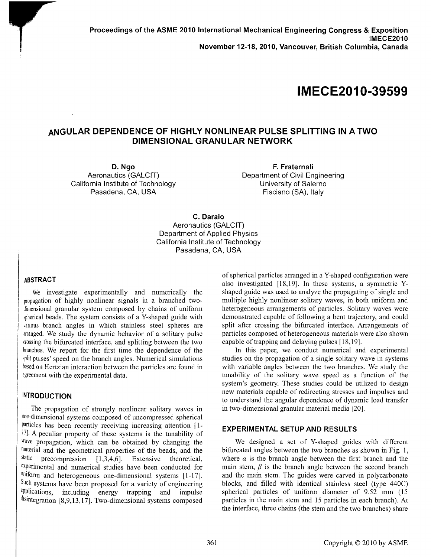**Proceedings of the ASME 2010 International Mechanical Engineering Congress & Exposition IMECE2010 November 12-18, 2010, Vancouver, British Columbia, Canada** 

# **IMECE201 0-39599**

# **ANGULAR DEPENDENCE OF HIGHLY NONLINEAR PULSE SPLITTING IN A TWO DIMENSIONAL GRANULAR NETWORK**

**D.Ngo**  Aeronautics (GALCIT) California Institute of Technology Pasadena, CA, USA

**F. Fraternali**  Department of Civil Engineering University of Salerno Fisciano (SA), Italy

**C. Daraio**  Aeronautics (GALCIT) Department of Applied Physics California Institute of Technology Pasadena, CA, USA

#### **ABSTRACT**

We investigate experimentally and numerically the propagation of highly nonlinear signals in a branched twodimensional granular system composed by chains of uniform spherical beads. The system consists of a Y-shaped guide with various branch angles in which stainless steel spheres are arranged. We study the dynamic behavior of a solitary pulse crossing the bifurcated interface, and splitting between the two branches. We report for the first time the dependence of the split pulses' speed on the branch angles. Numerical simulations based on Hertzian interaction between the particles are found in agreement with the experimental data.

#### **INTRODUCTION**

The propagation of strongly nonlinear solitary waves in one-dimensional systems composed of uncompressed spherical particles has been recently receiving increasing attention [ 1- 17]. A peculiar property of these systems is the tunability of wave propagation, which can be obtained by changing the material and the geometrical properties of the beads, and the static necompression  $[1, 3, 4, 6]$  Extensive theoretical precompression  $[1,3,4,6]$ . Extensive theoretical, experimental and numerical studies have been conducted for uniform and heterogeneous one-dimensional systems [1-17]. Such systems have been proposed for a variety of engineering applications, including energy trapping and impulse disintegration [8,9,13,17]. Two-dimensional systems composed

of spherical particles arranged in a Y-shaped configuration were also investigated [18,19]. In these systems, a symmetric Yshaped guide was used to analyze the propagating of single and multiple highly nonlinear solitary waves, in both uniform and heterogeneous arrangements of particles. Solitary waves were demonstrated capable of following a bent trajectory, and could split after crossing the bifurcated interface. Arrangements of particles composed of heterogeneous materials were also shown capable of trapping and delaying pulses [ 18, 19].

In this paper, we conduct numerical and experimental studies on the propagation of a single solitary wave in systems with variable angles between the two branches. We study the tunability of the solitary wave speed as a function of the system's geometry. These studies could be utilized to design new materials capable of redirecting stresses and impulses and to understand the angular dependence of dynamic load transfer in two-dimensional granular material media [20].

#### **EXPERIMENTAL SETUP AND RESULTS**

We designed a set of Y-shaped guides with different bifurcated angles between the two branches as shown in Fig. 1, where  $\alpha$  is the branch angle between the first branch and the main stem,  $\beta$  is the branch angle between the second branch and the main stem. The guides were carved in polycarbonate blocks, and filled with identical stainless steel (type 440C) spherical particles of uniform diameter of 9.52 mm (15 particles in the main stem and 15 particles in each branch). At the interface, three chains (the stem and the two branches) share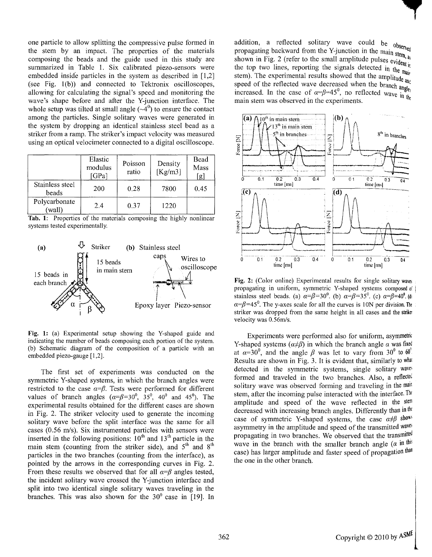one particle to allow splitting the compressive pulse formed in the stem by an impact. The properties of the materials composing the beads and the guide used in this study are summarized in Table 1. Six calibrated piezo-sensors were embedded inside particles in the system as described in  $[1,2]$ (see Fig. l(b)) and connected to Tektronix oscilloscopes, allowing for calculating the signal's speed and monitoring the wave's shape before and after the Y-junction interface. The whole setup was tilted at small angle  $(\sim 4^0)$  to ensure the contact among the particles. Single solitary waves were generated in the system by dropping an identical stainless steel bead as a striker from a ramp. The striker's impact velocity was measured using an optical velocimeter connected to a digital oscilloscope.

|                          | Elastic<br>modulus<br>[GPa] | Poisson<br>ratio | Density<br>[Kg/m3] | Bead<br>Mass<br>[g] |
|--------------------------|-----------------------------|------------------|--------------------|---------------------|
| Stainless steel<br>beads | 200                         | 0.28             | 7800               | 0.45                |
| Polycarbonate<br>(wall)  | 2.4                         | 0.37             | 1220               |                     |

Tab. 1: Properties of the materials composing the highly nonlinear systems tested experimentally.



Fig. 1: (a) Experimental setup showing the Y-shaped guide and indicating the number of beads composing each portion of the system. (b) Schematic diagram of the composition of a particle with an embedded piezo-gauge [1,2].

The first set of experiments was conducted on the symmetric Y-shaped systems, in which the branch angles were restricted to the case  $\alpha = \beta$ . Tests were performed for different values of branch angles  $(\alpha = \beta = 30^0, 35^0, 40^0, 45^0)$ . The experimental results obtained for the different cases are shown in Fig. 2. The striker velocity used to generate the incoming solitary wave before the split interface was the same for all cases (0.56 m/s). Six instrumented particles with sensors were inserted in the following positions:  $10<sup>th</sup>$  and  $13<sup>th</sup>$  particle in the main stem (counting from the striker side), and  $5<sup>th</sup>$  and  $8<sup>th</sup>$ particles in the two branches (counting from the interface), as pointed by the arrows in the corresponding curves in Fig. 2. From these results we observed that for all  $\alpha = \beta$  angles tested, the incident solitary wave crossed the Y-junction interface and split into two identical single solitary waves traveling in the branches. This was also shown for the  $30^{\circ}$  case in [19]. In addition, a reflected solitary wave could be  $observed$ propagating backward from the Y-junction in the main stem,  $\frac{1}{2}$ propagating backward from  $m = 3$ . the top two lines, reporting the signals detected in the main stem). The experimental results showed that the amplitude  $a_{\mathbf{h}}$ speed of the reflected wave decreased when the branch and increased. In the case of  $\alpha = \beta = 45^\circ$ , no reflected wave in the main stem was observed in the experiments. main stem was observed in the experiments.



Fig. 2: (Color online) Experimental results for single solitary waves propagating in uniform, symmetric Y-shaped systems composed of stainless steel beads. (a)  $\alpha = \beta = 30^{\circ}$ . (b)  $\alpha = \beta = 35^{\circ}$ . (c)  $\alpha = \beta = 40^{\circ}$ . (d)  $\alpha = \beta = 45^\circ$ . The y-axes scale for all the curves is 10N per division. The striker was dropped from the same height in all cases and the striker velocity was 0.56m/s.

Experiments were performed also for uniform, asymmetric Y-shaped systems  $(a \neq b)$  in which the branch angle  $\alpha$  was fixed at  $\alpha = 30^\circ$ , and the angle  $\beta$  was let to vary from  $30^\circ$  to 60<sup>°</sup> Results are shown in Fig. 3. It is evident that, similarly to what detected in the symmetric systems, single solitary waves formed and traveled in the two branches. Also, a reflected solitary wave was observed forming and traveling in the main stem, after the incoming pulse interacted with the interface.  $T^{\text{ht}}$ amplitude and speed of the wave reflected in the stem decreased with increasing branch angles. Differently than in the case of symmetric Y-shaped systems, the case  $\alpha \neq \beta$  shows asymmetry in the amplitude and speed of the transmitted waves propagating in two branches. We observed that the transmitted wave in the branch with the smaller branch angle  $(a$  in this case) has larger amplitude and faster speed of propagation than the one in the other branch.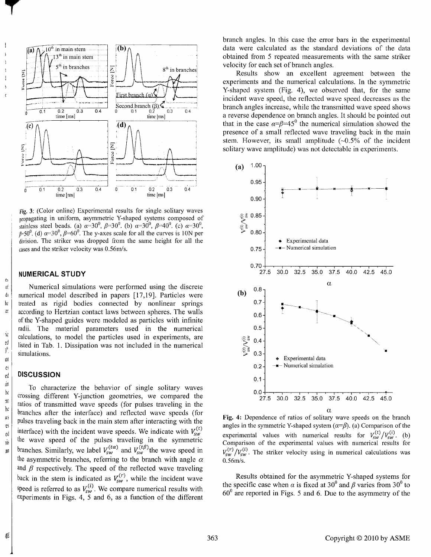

Fig. 3: (Color online) Experimental results for single solitary waves propagating in uniform, asymmetric Y-shaped systems composed of stainless steel beads. (a)  $\alpha = 30^{\circ}$ ,  $\beta = 30^{\circ}$ . (b)  $\alpha = 30^{\circ}$ ,  $\beta = 40^{\circ}$ . (c)  $\alpha = 30^{\circ}$ ,  $p=50^{\circ}$ . (d)  $\alpha=30^{\circ}$ ,  $\beta=60^{\circ}$ . The y-axes scale for all the curves is 10N per division. The striker was dropped from the same height for all the cases and the striker velocity was 0.56m/s.

#### **NUMERICAL STUDY**

 $\alpha$  Numerical simulations were performed using the discrete  $\phi$  numerical model described in papers [17,19]. Particles were  $\mathbb{R}$  treated as rigid bodies connected by nonlinear springs  $\mathbb{R}$  | according to Hertzian contact laws between spheres. The walls of the Y-shaped guides were modeled as particles with infinite radii. The material parameters used in the numerical  $\begin{bmatrix} \dot{x} \\ \dot{y} \end{bmatrix}$  calculations, to model the particles used in experiments, are listed in Tab. 1. Dissipation was not included in the numerical simulations.

## ed **DISCUSSION**

To characterize the behavior of single solitary waves crossing different Y-junction geometries, we compared the ratios of transmitted wave speeds (for pulses traveling in the branches after the interface) and reflected wave speeds (for pulses traveling back in the main stem after interacting with the interface) with the incident wave speeds. We indicate with  $V_{sw}^{(v)}$ the wave speed of the pulses traveling in the symmetric branches. Similarly, we label  $V_{sw}^{(u)}$  and  $V_{sw}^{(\nu)}$  the wave speed in the asymmetric branches, referring to the branch with angle  $\alpha$ and  $\beta$  respectively. The speed of the reflected wave traveling back in the stem is indicated as  $V_{sw}^{(r)}$ , while the incident wave speed is referred to as  $V_{sw}^{(1)}$ . We compare numerical results with experiments in Figs. 4, 5 and 6, as a function of the different

branch angles. In this case the error bars in the experimental data were calculated as the standard deviations of the data obtained from 5 repeated measurements with the same striker velocity for each set of branch angles.

Results show an excellent agreement between the experiments and the numerical calculations. In the symmetric Y-shaped system (Fig. 4), we observed that, for the same incident wave speed, the reflected wave speed decreases as the branch angles increase, while the transmitted wave speed shows a reverse dependence on branch angles. It should be pointed out that in the case  $\alpha = \beta = 45^\circ$  the numerical simulation showed the presence of a small reflected wave traveling back in the main stem. However, its small amplitude  $(-0.5\% \text{ of the incident})$ solitary wave amplitude) was not detectable in experiments.



Fig. 4: Dependence of ratios of solitary wave speeds on the branch angles in the symmetric Y-shaped system  $(a=\beta)$ . (a) Comparison of the experimental values with numerical results for  $V_{sw}^{(\ell)}/V_{sw}^{(\ell)}$ . (b) Comparison of the experimental values with numerical results for  $V_{sw}^{(r)}/V_{sw}^{(i)}$ . The striker velocity using in numerical calculations was 0.56m/s.

Results obtained for the asymmetric Y-shaped systems for the specific case when  $\alpha$  is fixed at 30<sup>°</sup> and  $\beta$  varies from 30<sup>°</sup> to  $60<sup>0</sup>$  are reported in Figs. 5 and 6. Due to the asymmetry of the

 $e<sub>3</sub>$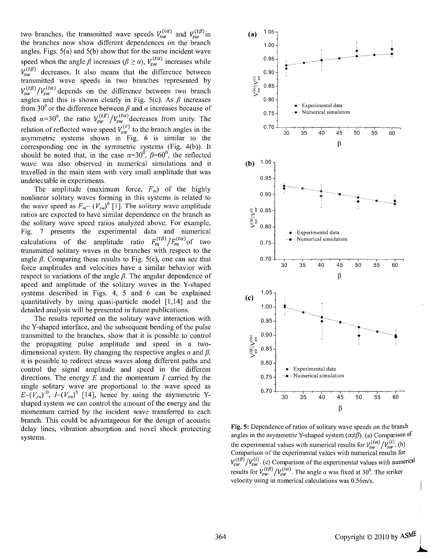two branches, the transmitted wave speeds  $V_{sw}^{(u)}$  and  $V_{sw}^{(lp)}$  in the branches now show different dependences on the branch angles. Figs. 5(a) and 5(b) show that for the same incident wave speed when the angle  $\beta$  increases ( $\beta \ge \alpha$ ),  $V_{sw}^{(t\alpha)}$  increases while  $V_{sw}^{(t\beta)}$  decreases. It also means that the difference between transmitted wave speeds in two branches represented by  $V_{sw}^{(t\beta)}/V_{sw}^{(t\alpha)}$  depends on the difference between two branch angles and this is shown clearly in Fig. 5(c). As  $\beta$  increases from 30<sup>°</sup> or the difference between  $\beta$  and  $\alpha$  increases because of fixed  $\alpha=30^{\circ}$ , the ratio  $V_{sw}^{(0)}/V_{sw}^{(0)}$  decreases from unity. The relation of reflected wave speed  $V_{sw}^{(r)}$  to the branch angles in the asymmetric systems shown in Fig. 6 is similar to the corresponding one in the symmetric systems (Fig. 4(b)). It should be noted that, in the case  $\alpha=30^{\circ}$ ,  $\beta=60^{\circ}$ , the reflected wave was also observed in numerical simulations and it travelled in the main stem with very small amplitude that was undetectable in experiments.

The amplitude (maximum force,  $F_m$ ) of the highly nonlinear solitary waves forming in this systems is related to the wave speed as  $F_m \sim (V_{sw})^6$  [1]. The solitary wave amplitude ratios are expected to have similar dependence on the branch as the solitary wave speed ratios analyzed above. For example, Fig. 7 presents the experimental data and numerical calculations of the amplitude ratio  $F_m^{(t\beta)}/F_m^{(t\alpha)}$  of two transmitted solitary waves in the branches with respect to the angle  $\beta$ . Comparing these results to Fig. 5(c), one can see that force amplitudes and velocities have a similar behavior with respect to variations of the angle  $\beta$ . The angular dependence of speed and amplitude of the solitary waves in the Y-shaped systems described in Figs. 4, 5 and 6 can be explained quantitatively by using quasi-particle model [1,14] and the detailed analysis will be presented in future publications.

The results reported on the solitary wave interaction with the Y-shaped interface, and the subsequent bending of the pulse transmitted to the branches, show that it is possible to control the propagating pulse amplitude and speed in a twodimensional system. By changing the respective angles  $\alpha$  and  $\beta$ , it is possible to redirect stress waves along different paths and control the signal amplitude and speed in the different directions. The energy *E* and the momentum *I* carried by the single solitary wave are proportional to the wave speed as  $E\sim (V_{sw})^{10}$ ,  $I\sim (V_{sw})^5$  [14], hence by using the asymmetric Yshaped system we can control the amount of the energy and the momentum carried by the incident wave transferred to each branch. This could be advantageous for the design of acoustic delay lines, vibration absorption and novel shock protecting systems.



Fig. 5: Dependence of ratios of solitary wave speeds on the branch angles in the asymmetric Y-shaped system  $(\alpha \neq \beta)$ . (a) Comparison of the experimental values with numerical results for  $V_{\rm sw}^{(\mu\nu)}/V_{\rm sw}^{(\nu)}$ . (b) Comparison of the experimental values with numerical results for  $V_{sw}^{(t\beta)}/V_{sw}^{(i)}$ . (c) Comparison of the experimental values with numerical results for  $V_{sw}^{(t\beta)}/V_{sw}^{(t\alpha)}$ . The angle  $\alpha$  was fixed at 30<sup>0</sup>. The striker velocity using in numerical calculations was 0.56m/s.

I  $\blacktriangleright$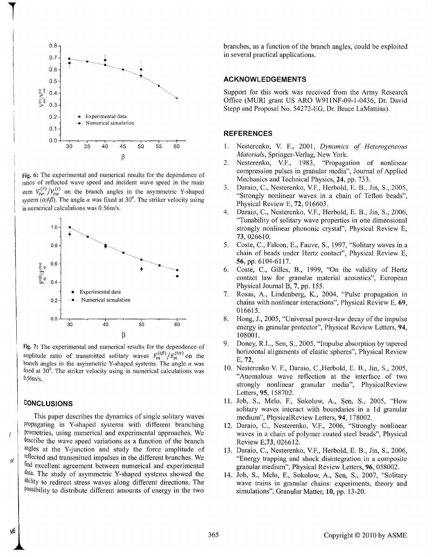

Fig. 6: The experimental and numerical results for the dependence of ratios of reflected wave speed and incident wave speed in the main stem  $V_{sw}^{(r)}/V_{sw}^{(i)}$  on the branch angles in the asymmetric Y-shaped system ( $\alpha \neq \beta$ ). The angle  $\alpha$  was fixed at 30<sup>0</sup>. The striker velocity using in numerical calculations was 0.56m/s.



Fig. 7: The experimental and numerical results for the dependence of amplitude ratio of transmitted solitary waves  $F_{m}^{(t\beta)}/F_{m}^{(t\alpha)}$  on the branch angles in the asymmetric Y-shaped systems. The angle  $\alpha$  was fixed at  $30^\circ$ . The striker velocity using in numerical calculations was 0.56m/s.

#### **CONCLUSIONS**

:a I

МÉ

 $\mathbf{f}$ 

**1** 

This paper describes the dynamics of single solitary waves propagating in Y-shaped systems with different branching geometries, using numerical and experimental approaches. We describe the wave speed variations as a function of the branch angles at the Y-junction and study the force amplitude of reflected and transmitted impulses in the different branches. We find excellent agreement between numerical and experimental data. The study of asymmetric Y-shaped systems showed the ability to redirect stress waves along different directions. The Possibility to distribute different amounts of energy in the two branches, as a function of the branch angles, could be exploited in several practical applications.

### **ACKNOWLEDGEMENTS**

Support for this work was received from the Army Research Office (MURI grant US ARO W911NF-09-l-0436, Dr. David Stepp and Proposal No. 54272-EG, Dr. Bruce LaMattina).

# **REFERENCES**

- 1. Nesterenko, V. F., 2001, *Dynamics of Heterogeneous Materials,* Springer-Verlag, New York.
- 2. Nesterenko, V.F., 1983, "Propagation of nonlinear compression pulses in granular media", Journal of Applied Mechanics and Technical Physics, 24, pp. 733.
- 3. Daraio, C., Nesterenko, V.F., Herbold, E. B., Jin, S., 2005, "Strongly nonlinear waves in a chain of Teflon beads", Physical Review E, 72, 016603.
- 4. Daraio, C., Nesterenko, V.F., Herbold, E. B., Jin, S., 2006, "Tunability of solitary wave properties in one dimensional strongly nonlinear phononic crystal", Physical Review E, 73, 026610.
- 5. Coste, C., Falcon, E., Fauve, S., 1997, "Solitary waves in a chain of beads under Hertz contact", Physical Review E, 56, pp. 6104-6117.
- 6. Coste, C., Gilles, B., 1999, "On the validity of Hertz contact law for granular material acoustics", European Physical Journal B, 7, pp. 155.
- 7. Rosas, A., Lindenberg, K., 2004, "Pulse propagation in chains with nonlinear interactions", Physical Review E, 69, 016615.
- 8. Hong, J., 2005, "Universal power-law decay of the impulse energy in granular protector", Physical Review Letters, 94, 108001.
- 9. Doney, R.L., Sen, S., 2005, "Impulse absorption by tapered horizontal alignments of elastic spheres", Physical Review E, 72,
- 10. Nesterenko V. F., Daraio, C.,Herbold, E. B., Jin, S., 2005, "Anomalous wave reflection at the interface of two strongly nonlinear granular media", PhysicalReview Letters, 95, 158702.
- 11. Job, S., Melo, F., Sokolow, A., Sen, S., 2005, "How solitary waves interact with boundaries in a ld granular medium", PhysicalReview Letters, 94, 178002.
- 12. Daraio, C., Nesterenko, V.F., 2006, "Strongly nonlinear waves in a chain of polymer coated steel beads", Physical Review E,73, 026612.
- 13. Daraio, C., Nesterenko, V.F., Herbold, E. B., Jin, S., 2006, "Energy trapping and shock disintegration in a composite granular medium", Physical Review Letters, 96, 058002.
- 14. Job, S., Melo, F., Sokolow, A., Sen, S., 2007, "Solitary wave trains in granular chains: experiments, theory and simulations", Granular Matter, **10,** pp. 13-20.